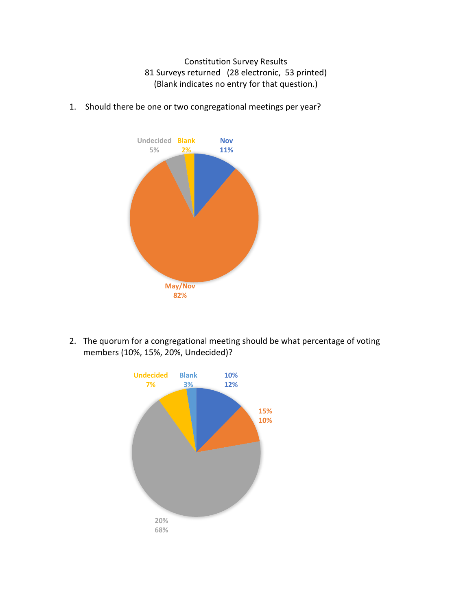Constitution Survey Results 81 Surveys returned (28 electronic, 53 printed) (Blank indicates no entry for that question.)



1. Should there be one or two congregational meetings per year?

2. The quorum for a congregational meeting should be what percentage of voting members (10%, 15%, 20%, Undecided)?

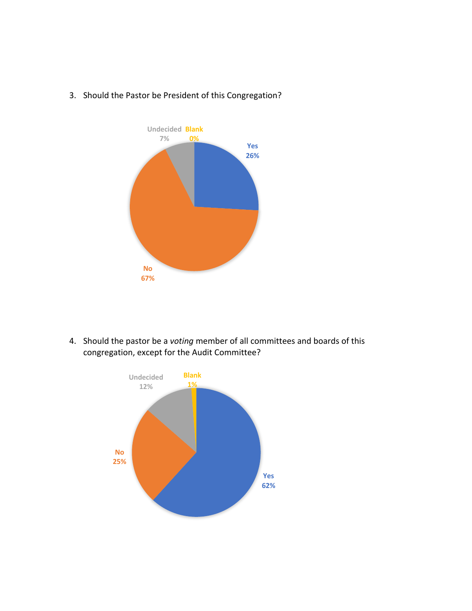

# 3. Should the Pastor be President of this Congregation?

4. Should the pastor be a *voting* member of all committees and boards of this congregation, except for the Audit Committee?

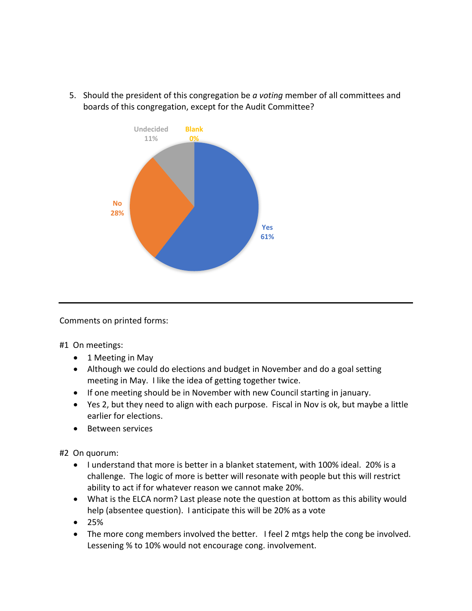5. Should the president of this congregation be *a voting* member of all committees and boards of this congregation, except for the Audit Committee?



Comments on printed forms:

#1 On meetings:

- 1 Meeting in May
- Although we could do elections and budget in November and do a goal setting meeting in May. I like the idea of getting together twice.
- If one meeting should be in November with new Council starting in january.
- Yes 2, but they need to align with each purpose. Fiscal in Nov is ok, but maybe a little earlier for elections.
- Between services

#2 On quorum:

- I understand that more is better in a blanket statement, with 100% ideal. 20% is a challenge. The logic of more is better will resonate with people but this will restrict ability to act if for whatever reason we cannot make 20%.
- What is the ELCA norm? Last please note the question at bottom as this ability would help (absentee question). I anticipate this will be 20% as a vote
- 25%
- The more cong members involved the better. I feel 2 mtgs help the cong be involved. Lessening % to 10% would not encourage cong. involvement.